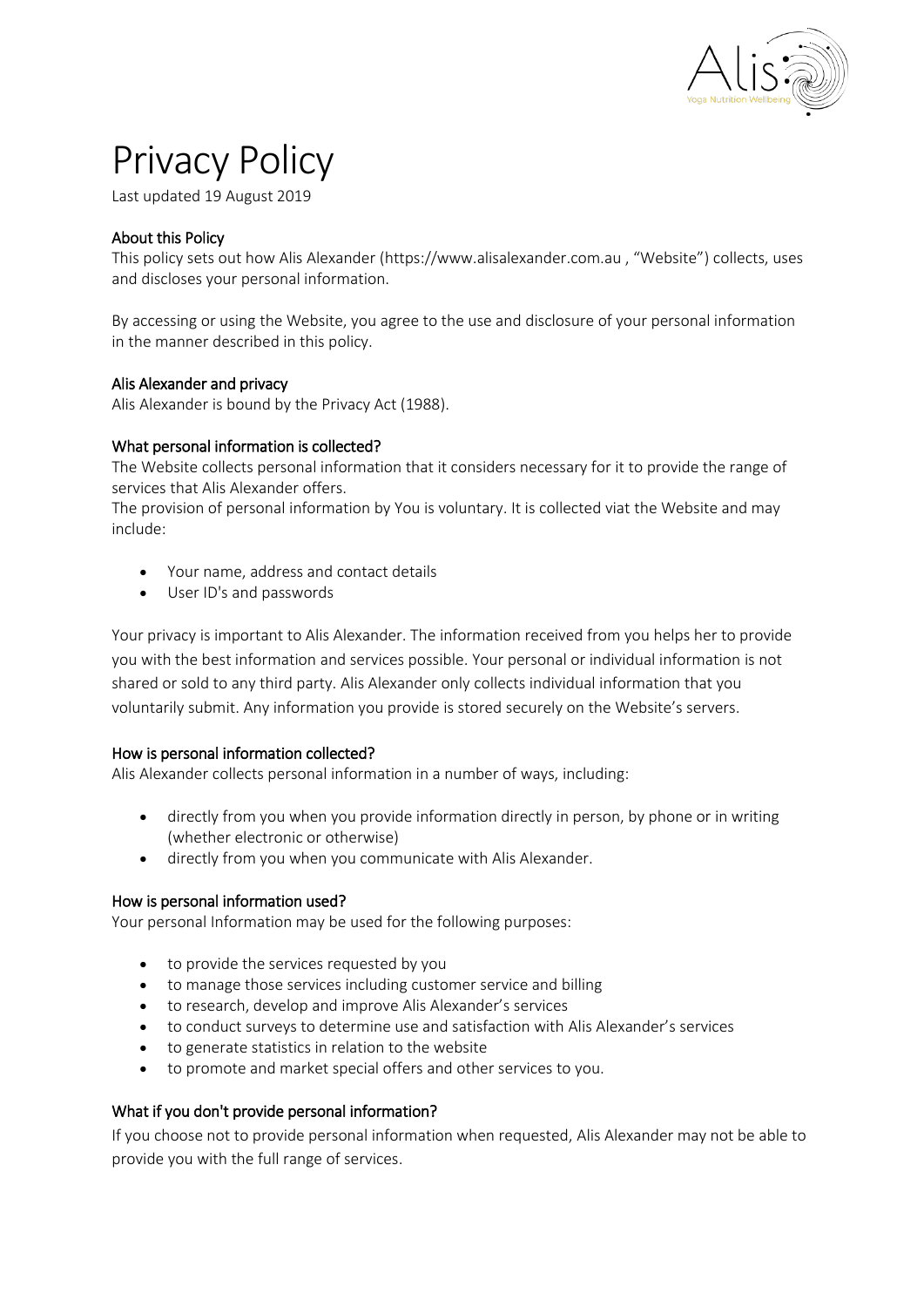

# Privacy Policy

Last updated 19 August 2019

# About this Policy

This policy sets out how Alis Alexander (https://www.alisalexander.com.au , "Website") collects, uses and discloses your personal information.

By accessing or using the Website, you agree to the use and disclosure of your personal information in the manner described in this policy.

## Alis Alexander and privacy

Alis Alexander is bound by the Privacy Act (1988).

## What personal information is collected?

The Website collects personal information that it considers necessary for it to provide the range of services that Alis Alexander offers.

The provision of personal information by You is voluntary. It is collected viat the Website and may include:

- Your name, address and contact details
- User ID's and passwords

Your privacy is important to Alis Alexander. The information received from you helps her to provide you with the best information and services possible. Your personal or individual information is not shared or sold to any third party. Alis Alexander only collects individual information that you voluntarily submit. Any information you provide is stored securely on the Website's servers.

#### How is personal information collected?

Alis Alexander collects personal information in a number of ways, including:

- directly from you when you provide information directly in person, by phone or in writing (whether electronic or otherwise)
- directly from you when you communicate with Alis Alexander.

#### How is personal information used?

Your personal Information may be used for the following purposes:

- to provide the services requested by you
- to manage those services including customer service and billing
- to research, develop and improve Alis Alexander's services
- to conduct surveys to determine use and satisfaction with Alis Alexander's services
- to generate statistics in relation to the website
- to promote and market special offers and other services to you.

# What if you don't provide personal information?

If you choose not to provide personal information when requested, Alis Alexander may not be able to provide you with the full range of services.